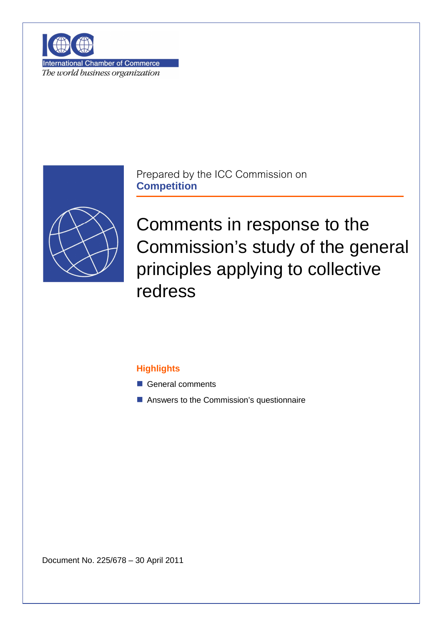

**International Chamber of Commerce** The world business organization



Prepared by the ICC Commission on **Competition**

Comments in response to the Commission's study of the general principles applying to collective redress

# **Highlights**

- General comments
- Answers to the Commission's questionnaire

Document No. 225/678 – 30 April 2011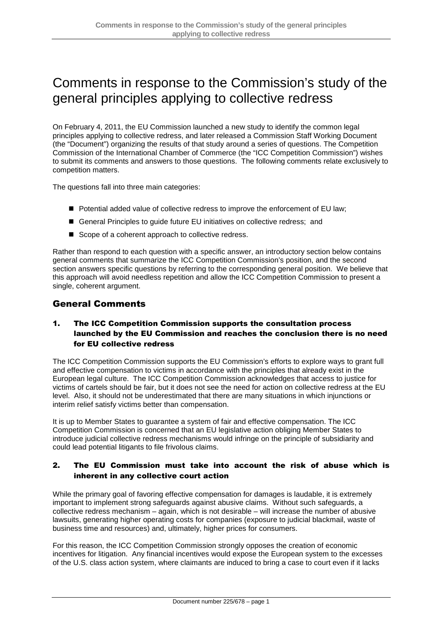# Comments in response to the Commission's study of the general principles applying to collective redress

On February 4, 2011, the EU Commission launched a new study to identify the common legal principles applying to collective redress, and later released a Commission Staff Working Document (the "Document") organizing the results of that study around a series of questions. The Competition Commission of the International Chamber of Commerce (the "ICC Competition Commission") wishes to submit its comments and answers to those questions. The following comments relate exclusively to competition matters.

The questions fall into three main categories:

- Potential added value of collective redress to improve the enforcement of EU law:
- General Principles to quide future EU initiatives on collective redress; and
- Scope of a coherent approach to collective redress.

Rather than respond to each question with a specific answer, an introductory section below contains general comments that summarize the ICC Competition Commission's position, and the second section answers specific questions by referring to the corresponding general position. We believe that this approach will avoid needless repetition and allow the ICC Competition Commission to present a single, coherent argument.

# General Comments

# 1. The ICC Competition Commission supports the consultation process launched by the EU Commission and reaches the conclusion there is no need for EU collective redress

The ICC Competition Commission supports the EU Commission's efforts to explore ways to grant full and effective compensation to victims in accordance with the principles that already exist in the European legal culture. The ICC Competition Commission acknowledges that access to justice for victims of cartels should be fair, but it does not see the need for action on collective redress at the EU level. Also, it should not be underestimated that there are many situations in which injunctions or interim relief satisfy victims better than compensation.

It is up to Member States to guarantee a system of fair and effective compensation. The ICC Competition Commission is concerned that an EU legislative action obliging Member States to introduce judicial collective redress mechanisms would infringe on the principle of subsidiarity and could lead potential litigants to file frivolous claims.

# 2. The EU Commission must take into account the risk of abuse which is inherent in any collective court action

While the primary goal of favoring effective compensation for damages is laudable, it is extremely important to implement strong safeguards against abusive claims. Without such safeguards, a collective redress mechanism – again, which is not desirable – will increase the number of abusive lawsuits, generating higher operating costs for companies (exposure to judicial blackmail, waste of business time and resources) and, ultimately, higher prices for consumers.

For this reason, the ICC Competition Commission strongly opposes the creation of economic incentives for litigation. Any financial incentives would expose the European system to the excesses of the U.S. class action system, where claimants are induced to bring a case to court even if it lacks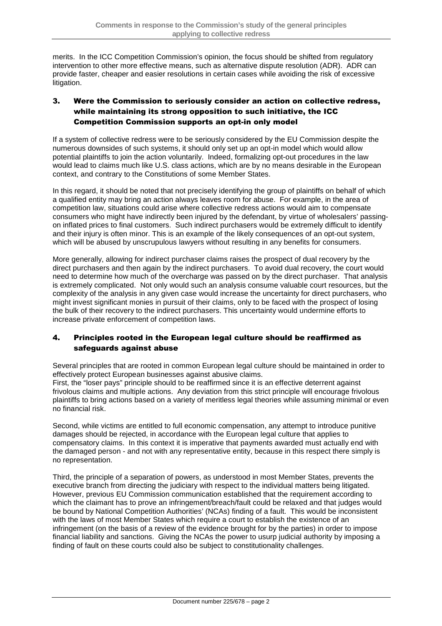merits. In the ICC Competition Commission's opinion, the focus should be shifted from regulatory intervention to other more effective means, such as alternative dispute resolution (ADR). ADR can provide faster, cheaper and easier resolutions in certain cases while avoiding the risk of excessive litigation.

# 3. Were the Commission to seriously consider an action on collective redress, while maintaining its strong opposition to such initiative, the ICC Competition Commission supports an opt-in only model

If a system of collective redress were to be seriously considered by the EU Commission despite the numerous downsides of such systems, it should only set up an opt-in model which would allow potential plaintiffs to join the action voluntarily. Indeed, formalizing opt-out procedures in the law would lead to claims much like U.S. class actions, which are by no means desirable in the European context, and contrary to the Constitutions of some Member States.

In this regard, it should be noted that not precisely identifying the group of plaintiffs on behalf of which a qualified entity may bring an action always leaves room for abuse. For example, in the area of competition law, situations could arise where collective redress actions would aim to compensate consumers who might have indirectly been injured by the defendant, by virtue of wholesalers' passingon inflated prices to final customers. Such indirect purchasers would be extremely difficult to identify and their injury is often minor. This is an example of the likely consequences of an opt-out system, which will be abused by unscrupulous lawyers without resulting in any benefits for consumers.

More generally, allowing for indirect purchaser claims raises the prospect of dual recovery by the direct purchasers and then again by the indirect purchasers. To avoid dual recovery, the court would need to determine how much of the overcharge was passed on by the direct purchaser. That analysis is extremely complicated. Not only would such an analysis consume valuable court resources, but the complexity of the analysis in any given case would increase the uncertainty for direct purchasers, who might invest significant monies in pursuit of their claims, only to be faced with the prospect of losing the bulk of their recovery to the indirect purchasers. This uncertainty would undermine efforts to increase private enforcement of competition laws.

# 4. Principles rooted in the European legal culture should be reaffirmed as safeguards against abuse

Several principles that are rooted in common European legal culture should be maintained in order to effectively protect European businesses against abusive claims.

First, the "loser pays" principle should to be reaffirmed since it is an effective deterrent against frivolous claims and multiple actions. Any deviation from this strict principle will encourage frivolous plaintiffs to bring actions based on a variety of meritless legal theories while assuming minimal or even no financial risk.

Second, while victims are entitled to full economic compensation, any attempt to introduce punitive damages should be rejected, in accordance with the European legal culture that applies to compensatory claims. In this context it is imperative that payments awarded must actually end with the damaged person - and not with any representative entity, because in this respect there simply is no representation.

Third, the principle of a separation of powers, as understood in most Member States, prevents the executive branch from directing the judiciary with respect to the individual matters being litigated. However, previous EU Commission communication established that the requirement according to which the claimant has to prove an infringement/breach/fault could be relaxed and that judges would be bound by National Competition Authorities' (NCAs) finding of a fault. This would be inconsistent with the laws of most Member States which require a court to establish the existence of an infringement (on the basis of a review of the evidence brought for by the parties) in order to impose financial liability and sanctions. Giving the NCAs the power to usurp judicial authority by imposing a finding of fault on these courts could also be subject to constitutionality challenges.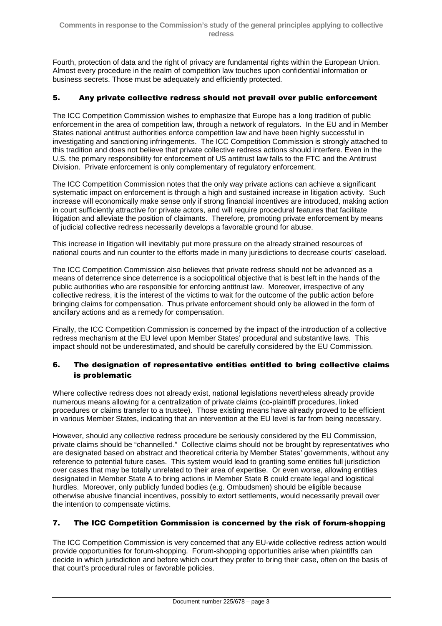Fourth, protection of data and the right of privacy are fundamental rights within the European Union. Almost every procedure in the realm of competition law touches upon confidential information or business secrets. Those must be adequately and efficiently protected.

# 5. Any private collective redress should not prevail over public enforcement

The ICC Competition Commission wishes to emphasize that Europe has a long tradition of public enforcement in the area of competition law, through a network of regulators. In the EU and in Member States national antitrust authorities enforce competition law and have been highly successful in investigating and sanctioning infringements. The ICC Competition Commission is strongly attached to this tradition and does not believe that private collective redress actions should interfere. Even in the U.S. the primary responsibility for enforcement of US antitrust law falls to the FTC and the Antitrust Division. Private enforcement is only complementary of regulatory enforcement.

The ICC Competition Commission notes that the only way private actions can achieve a significant systematic impact on enforcement is through a high and sustained increase in litigation activity. Such increase will economically make sense only if strong financial incentives are introduced, making action in court sufficiently attractive for private actors, and will require procedural features that facilitate litigation and alleviate the position of claimants. Therefore, promoting private enforcement by means of judicial collective redress necessarily develops a favorable ground for abuse.

This increase in litigation will inevitably put more pressure on the already strained resources of national courts and run counter to the efforts made in many jurisdictions to decrease courts' caseload.

The ICC Competition Commission also believes that private redress should not be advanced as a means of deterrence since deterrence is a sociopolitical objective that is best left in the hands of the public authorities who are responsible for enforcing antitrust law. Moreover, irrespective of any collective redress, it is the interest of the victims to wait for the outcome of the public action before bringing claims for compensation. Thus private enforcement should only be allowed in the form of ancillary actions and as a remedy for compensation.

Finally, the ICC Competition Commission is concerned by the impact of the introduction of a collective redress mechanism at the EU level upon Member States' procedural and substantive laws. This impact should not be underestimated, and should be carefully considered by the EU Commission.

# 6. The designation of representative entities entitled to bring collective claims is problematic

Where collective redress does not already exist, national legislations nevertheless already provide numerous means allowing for a centralization of private claims (co-plaintiff procedures, linked procedures or claims transfer to a trustee). Those existing means have already proved to be efficient in various Member States, indicating that an intervention at the EU level is far from being necessary.

However, should any collective redress procedure be seriously considered by the EU Commission, private claims should be "channelled." Collective claims should not be brought by representatives who are designated based on abstract and theoretical criteria by Member States' governments, without any reference to potential future cases. This system would lead to granting some entities full jurisdiction over cases that may be totally unrelated to their area of expertise. Or even worse, allowing entities designated in Member State A to bring actions in Member State B could create legal and logistical hurdles. Moreover, only publicly funded bodies (e.g. Ombudsmen) should be eligible because otherwise abusive financial incentives, possibly to extort settlements, would necessarily prevail over the intention to compensate victims.

# 7. The ICC Competition Commission is concerned by the risk of forum-shopping

The ICC Competition Commission is very concerned that any EU-wide collective redress action would provide opportunities for forum-shopping. Forum-shopping opportunities arise when plaintiffs can decide in which jurisdiction and before which court they prefer to bring their case, often on the basis of that court's procedural rules or favorable policies.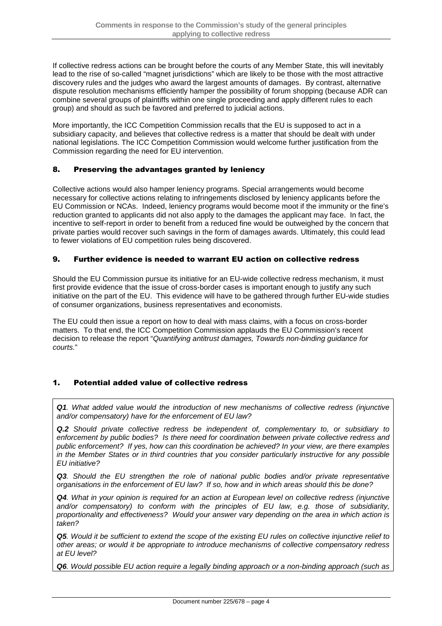If collective redress actions can be brought before the courts of any Member State, this will inevitably lead to the rise of so-called "magnet jurisdictions" which are likely to be those with the most attractive discovery rules and the judges who award the largest amounts of damages. By contrast, alternative dispute resolution mechanisms efficiently hamper the possibility of forum shopping (because ADR can combine several groups of plaintiffs within one single proceeding and apply different rules to each group) and should as such be favored and preferred to judicial actions.

More importantly, the ICC Competition Commission recalls that the EU is supposed to act in a subsidiary capacity, and believes that collective redress is a matter that should be dealt with under national legislations. The ICC Competition Commission would welcome further justification from the Commission regarding the need for EU intervention.

# 8. Preserving the advantages granted by leniency

Collective actions would also hamper leniency programs. Special arrangements would become necessary for collective actions relating to infringements disclosed by leniency applicants before the EU Commission or NCAs. Indeed, leniency programs would become moot if the immunity or the fine's reduction granted to applicants did not also apply to the damages the applicant may face. In fact, the incentive to self-report in order to benefit from a reduced fine would be outweighed by the concern that private parties would recover such savings in the form of damages awards. Ultimately, this could lead to fewer violations of EU competition rules being discovered.

# 9. Further evidence is needed to warrant EU action on collective redress

Should the EU Commission pursue its initiative for an EU-wide collective redress mechanism, it must first provide evidence that the issue of cross-border cases is important enough to justify any such initiative on the part of the EU. This evidence will have to be gathered through further EU-wide studies of consumer organizations, business representatives and economists.

The EU could then issue a report on how to deal with mass claims, with a focus on cross-border matters. To that end, the ICC Competition Commission applauds the EU Commission's recent decision to release the report "Quantifying antitrust damages, Towards non-binding guidance for courts."

# 1. Potential added value of collective redress

**Q1**. What added value would the introduction of new mechanisms of collective redress (injunctive and/or compensatory) have for the enforcement of EU law?

**Q.2** Should private collective redress be independent of, complementary to, or subsidiary to enforcement by public bodies? Is there need for coordination between private collective redress and public enforcement? If yes, how can this coordination be achieved? In your view, are there examples in the Member States or in third countries that you consider particularly instructive for any possible EU initiative?

**Q3**. Should the EU strengthen the role of national public bodies and/or private representative organisations in the enforcement of EU law? If so, how and in which areas should this be done?

**Q4**. What in your opinion is required for an action at European level on collective redress (injunctive and/or compensatory) to conform with the principles of EU law, e.g. those of subsidiarity, proportionality and effectiveness? Would your answer vary depending on the area in which action is taken?

**Q5**. Would it be sufficient to extend the scope of the existing EU rules on collective injunctive relief to other areas; or would it be appropriate to introduce mechanisms of collective compensatory redress at EU level?

**Q6**. Would possible EU action require a legally binding approach or a non-binding approach (such as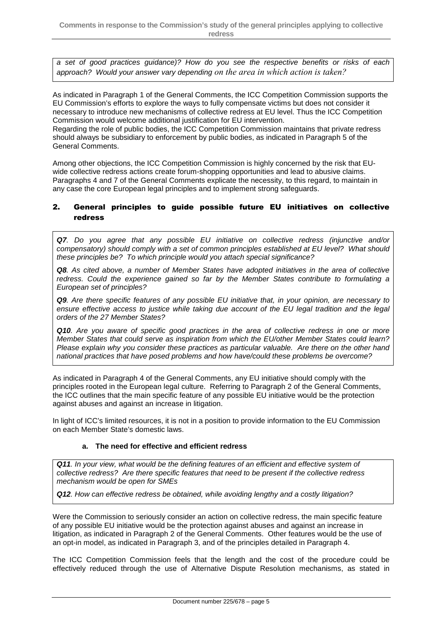a set of good practices guidance)? How do you see the respective benefits or risks of each approach? Would your answer vary depending *on the area in which action is taken?*

As indicated in Paragraph 1 of the General Comments, the ICC Competition Commission supports the EU Commission's efforts to explore the ways to fully compensate victims but does not consider it necessary to introduce new mechanisms of collective redress at EU level. Thus the ICC Competition Commission would welcome additional justification for EU intervention.

Regarding the role of public bodies, the ICC Competition Commission maintains that private redress should always be subsidiary to enforcement by public bodies, as indicated in Paragraph 5 of the General Comments.

Among other objections, the ICC Competition Commission is highly concerned by the risk that EUwide collective redress actions create forum-shopping opportunities and lead to abusive claims. Paragraphs 4 and 7 of the General Comments explicate the necessity, to this regard, to maintain in any case the core European legal principles and to implement strong safeguards.

# 2. General principles to guide possible future EU initiatives on collective redress

**Q7**. Do you agree that any possible EU initiative on collective redress (injunctive and/or compensatory) should comply with a set of common principles established at EU level? What should these principles be? To which principle would you attach special significance?

**Q8**. As cited above, a number of Member States have adopted initiatives in the area of collective redress. Could the experience gained so far by the Member States contribute to formulating a European set of principles?

**Q9**. Are there specific features of any possible EU initiative that, in your opinion, are necessary to ensure effective access to justice while taking due account of the EU legal tradition and the legal orders of the 27 Member States?

**Q10**. Are you aware of specific good practices in the area of collective redress in one or more Member States that could serve as inspiration from which the EU/other Member States could learn? Please explain why you consider these practices as particular valuable. Are there on the other hand national practices that have posed problems and how have/could these problems be overcome?

As indicated in Paragraph 4 of the General Comments, any EU initiative should comply with the principles rooted in the European legal culture. Referring to Paragraph 2 of the General Comments, the ICC outlines that the main specific feature of any possible EU initiative would be the protection against abuses and against an increase in litigation.

In light of ICC's limited resources, it is not in a position to provide information to the EU Commission on each Member State's domestic laws.

#### **a. The need for effective and efficient redress**

**Q11**. In your view, what would be the defining features of an efficient and effective system of collective redress? Are there specific features that need to be present if the collective redress mechanism would be open for SMEs

**Q12**. How can effective redress be obtained, while avoiding lengthy and a costly litigation?

Were the Commission to seriously consider an action on collective redress, the main specific feature of any possible EU initiative would be the protection against abuses and against an increase in litigation, as indicated in Paragraph 2 of the General Comments. Other features would be the use of an opt-in model, as indicated in Paragraph 3, and of the principles detailed in Paragraph 4.

The ICC Competition Commission feels that the length and the cost of the procedure could be effectively reduced through the use of Alternative Dispute Resolution mechanisms, as stated in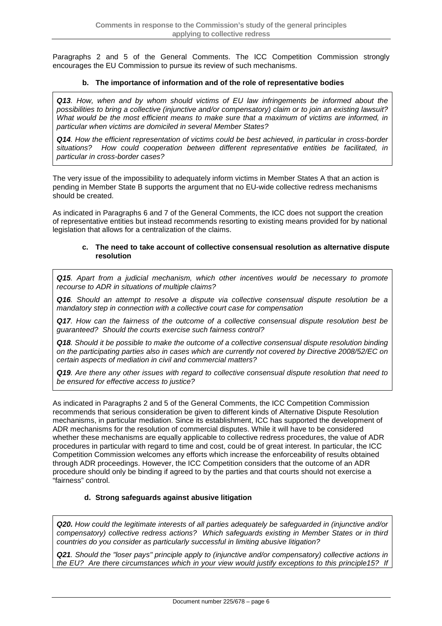Paragraphs 2 and 5 of the General Comments. The ICC Competition Commission strongly encourages the EU Commission to pursue its review of such mechanisms.

#### **b. The importance of information and of the role of representative bodies**

**Q13**. How, when and by whom should victims of EU law infringements be informed about the possibilities to bring a collective (injunctive and/or compensatory) claim or to join an existing lawsuit? What would be the most efficient means to make sure that a maximum of victims are informed, in particular when victims are domiciled in several Member States?

**Q14**. How the efficient representation of victims could be best achieved, in particular in cross-border situations? How could cooperation between different representative entities be facilitated, in particular in cross-border cases?

The very issue of the impossibility to adequately inform victims in Member States A that an action is pending in Member State B supports the argument that no EU-wide collective redress mechanisms should be created.

As indicated in Paragraphs 6 and 7 of the General Comments, the ICC does not support the creation of representative entities but instead recommends resorting to existing means provided for by national legislation that allows for a centralization of the claims.

#### **c. The need to take account of collective consensual resolution as alternative dispute resolution**

**Q15**. Apart from a judicial mechanism, which other incentives would be necessary to promote recourse to ADR in situations of multiple claims?

**Q16**. Should an attempt to resolve a dispute via collective consensual dispute resolution be a mandatory step in connection with a collective court case for compensation

**Q17**. How can the fairness of the outcome of a collective consensual dispute resolution best be guaranteed? Should the courts exercise such fairness control?

**Q18**. Should it be possible to make the outcome of a collective consensual dispute resolution binding on the participating parties also in cases which are currently not covered by Directive 2008/52/EC on certain aspects of mediation in civil and commercial matters?

**Q19**. Are there any other issues with regard to collective consensual dispute resolution that need to be ensured for effective access to justice?

As indicated in Paragraphs 2 and 5 of the General Comments, the ICC Competition Commission recommends that serious consideration be given to different kinds of Alternative Dispute Resolution mechanisms, in particular mediation. Since its establishment, ICC has supported the development of ADR mechanisms for the resolution of commercial disputes. While it will have to be considered whether these mechanisms are equally applicable to collective redress procedures, the value of ADR procedures in particular with regard to time and cost, could be of great interest. In particular, the ICC Competition Commission welcomes any efforts which increase the enforceability of results obtained through ADR proceedings. However, the ICC Competition considers that the outcome of an ADR procedure should only be binding if agreed to by the parties and that courts should not exercise a "fairness" control.

#### **d. Strong safeguards against abusive litigation**

**Q20.** How could the legitimate interests of all parties adequately be safeguarded in (injunctive and/or compensatory) collective redress actions? Which safeguards existing in Member States or in third countries do you consider as particularly successful in limiting abusive litigation?

**Q21**. Should the "loser pays" principle apply to (injunctive and/or compensatory) collective actions in the EU? Are there circumstances which in your view would justify exceptions to this principle15? If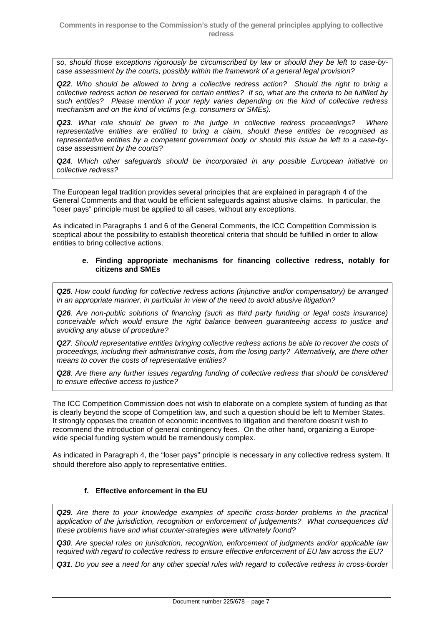so, should those exceptions rigorously be circumscribed by law or should they be left to case-bycase assessment by the courts, possibly within the framework of a general legal provision?

**Q22**. Who should be allowed to bring a collective redress action? Should the right to bring a collective redress action be reserved for certain entities? If so, what are the criteria to be fulfilled by such entities? Please mention if your reply varies depending on the kind of collective redress mechanism and on the kind of victims (e.g. consumers or SMEs).

**Q23**. What role should be given to the judge in collective redress proceedings? Where representative entities are entitled to bring a claim, should these entities be recognised as representative entities by a competent government body or should this issue be left to a case-bycase assessment by the courts?

**Q24**. Which other safeguards should be incorporated in any possible European initiative on collective redress?

The European legal tradition provides several principles that are explained in paragraph 4 of the General Comments and that would be efficient safeguards against abusive claims. In particular, the "loser pays" principle must be applied to all cases, without any exceptions.

As indicated in Paragraphs 1 and 6 of the General Comments, the ICC Competition Commission is sceptical about the possibility to establish theoretical criteria that should be fulfilled in order to allow entities to bring collective actions.

#### **e. Finding appropriate mechanisms for financing collective redress, notably for citizens and SMEs**

**Q25**. How could funding for collective redress actions (injunctive and/or compensatory) be arranged in an appropriate manner, in particular in view of the need to avoid abusive litigation?

**Q26**. Are non-public solutions of financing (such as third party funding or legal costs insurance) conceivable which would ensure the right balance between guaranteeing access to justice and avoiding any abuse of procedure?

**Q27**. Should representative entities bringing collective redress actions be able to recover the costs of proceedings, including their administrative costs, from the losing party? Alternatively, are there other means to cover the costs of representative entities?

**Q28**. Are there any further issues regarding funding of collective redress that should be considered to ensure effective access to justice?

The ICC Competition Commission does not wish to elaborate on a complete system of funding as that is clearly beyond the scope of Competition law, and such a question should be left to Member States. It strongly opposes the creation of economic incentives to litigation and therefore doesn't wish to recommend the introduction of general contingency fees. On the other hand, organizing a Europewide special funding system would be tremendously complex.

As indicated in Paragraph 4, the "loser pays" principle is necessary in any collective redress system. It should therefore also apply to representative entities.

#### **f. Effective enforcement in the EU**

**Q29**. Are there to your knowledge examples of specific cross-border problems in the practical application of the jurisdiction, recognition or enforcement of judgements? What consequences did these problems have and what counter-strategies were ultimately found?

**Q30**. Are special rules on jurisdiction, recognition, enforcement of judgments and/or applicable law required with regard to collective redress to ensure effective enforcement of EU law across the EU?

**Q31**. Do you see a need for any other special rules with regard to collective redress in cross-border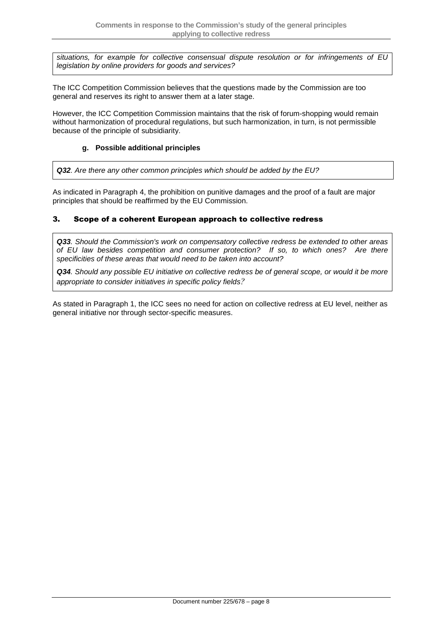situations, for example for collective consensual dispute resolution or for infringements of EU legislation by online providers for goods and services?

The ICC Competition Commission believes that the questions made by the Commission are too general and reserves its right to answer them at a later stage.

However, the ICC Competition Commission maintains that the risk of forum-shopping would remain without harmonization of procedural regulations, but such harmonization, in turn, is not permissible because of the principle of subsidiarity.

#### **g. Possible additional principles**

**Q32**. Are there any other common principles which should be added by the EU?

As indicated in Paragraph 4, the prohibition on punitive damages and the proof of a fault are major principles that should be reaffirmed by the EU Commission.

# 3. Scope of a coherent European approach to collective redress

**Q33**. Should the Commission's work on compensatory collective redress be extended to other areas of EU law besides competition and consumer protection? If so, to which ones? Are there specificities of these areas that would need to be taken into account?

**Q34**. Should any possible EU initiative on collective redress be of general scope, or would it be more appropriate to consider initiatives in specific policy fields*?*

As stated in Paragraph 1, the ICC sees no need for action on collective redress at EU level, neither as general initiative nor through sector-specific measures.